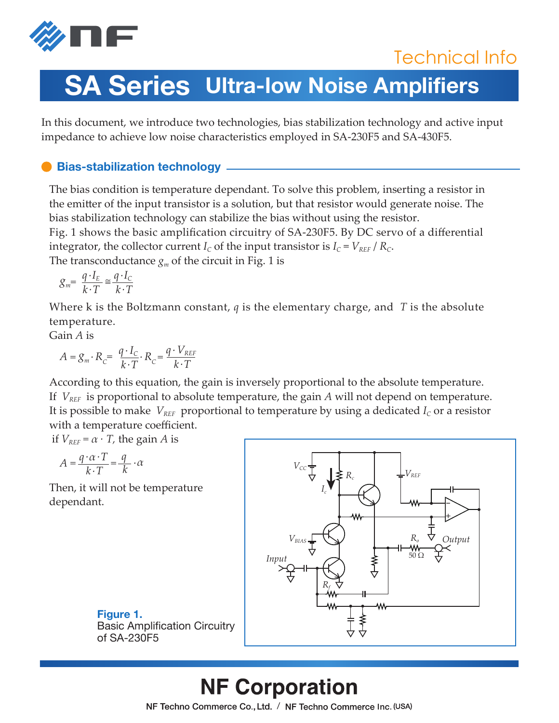

## Technical Info

# **SA Series Ultra-low Noise Amplifiers**

In this document, we introduce two technologies, bias stabilization technology and active input impedance to achieve low noise characteristics employed in SA-230F5 and SA-430F5.

### **Bias-stabilization technology**

The bias condition is temperature dependant. To solve this problem, inserting a resistor in the emitter of the input transistor is a solution, but that resistor would generate noise. The bias stabilization technology can stabilize the bias without using the resistor.

Fig. 1 shows the basic amplification circuitry of SA-230F5. By DC servo of a differential integrator, the collector current  $I_c$  of the input transistor is  $I_c = V_{REF}/R_c$ . The transconductance  $g_m$  of the circuit in Fig. 1 is

 $g_m = \frac{q \cdot I_E}{k \cdot T}$  $q \cdot I_c$ *k .T*

Where k is the Boltzmann constant, *q* is the elementary charge, and *T* is the absolute temperature.

Gain *A* is

$$
A = g_m \cdot R_c = \frac{q \cdot I_c}{k \cdot T} \cdot R_c = \frac{q \cdot V_{REF}}{k \cdot T}
$$

According to this equation, the gain is inversely proportional to the absolute temperature. If *VREF* is proportional to absolute temperature, the gain *A* will not depend on temperature. It is possible to make  $V_{REF}$  proportional to temperature by using a dedicated  $I_c$  or a resistor with a temperature coefficient.

if  $V_{REF} = \alpha \cdot T$ , the gain *A* is

$$
A = \frac{q \cdot \alpha \cdot T}{k \cdot T} = \frac{q}{k} \cdot \alpha
$$

Then, it will not be temperature dependant.



**Figure 1.**  Basic Amplification Circuitry of SA-230F5

## **NF Corporation**

NF Techno Commerce Co., Ltd. / NF Techno Commerce Inc. (USA)